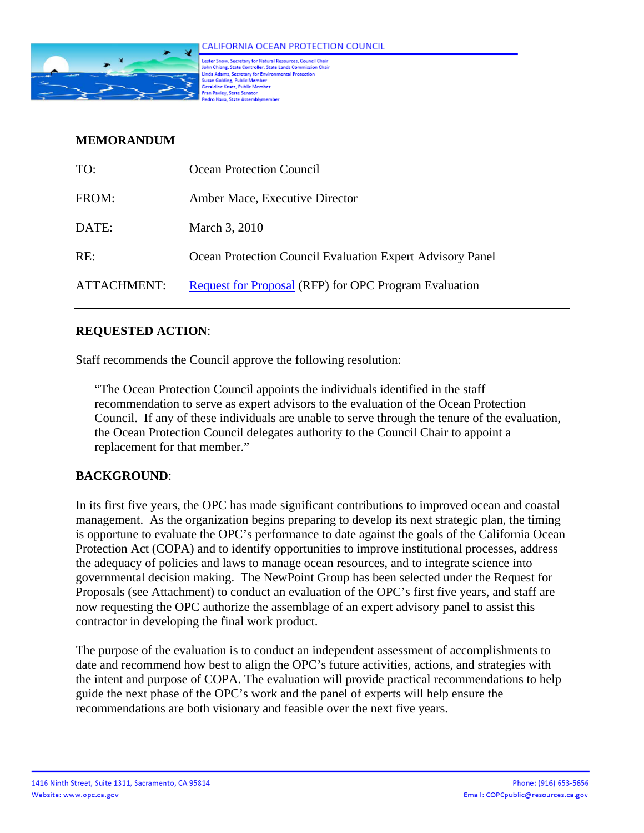

.<br>Lester Snow, Secretary for Natural Resources, Council Chair<br>John Chiang, State Controller, State Lands Commission Chair communications continues to the continues of the communication<br>Linda Adams, Secretary for Environmental Protection<br>Geraldine Knatz, Public Member<br>Geraldine Knatz, Public Member iran Pavley, State Senator o Nava, State Assembly

## **MEMORANDUM**

| TO:         | Ocean Protection Council                                     |
|-------------|--------------------------------------------------------------|
| FROM:       | Amber Mace, Executive Director                               |
| DATE:       | March 3, 2010                                                |
| RE:         | Ocean Protection Council Evaluation Expert Advisory Panel    |
| ATTACHMENT: | <b>Request for Proposal (RFP) for OPC Program Evaluation</b> |

# **REQUESTED ACTION**:

Staff recommends the Council approve the following resolution:

"The Ocean Protection Council appoints the individuals identified in the staff recommendation to serve as expert advisors to the evaluation of the Ocean Protection Council. If any of these individuals are unable to serve through the tenure of the evaluation, the Ocean Protection Council delegates authority to the Council Chair to appoint a replacement for that member."

# **BACKGROUND**:

In its first five years, the OPC has made significant contributions to improved ocean and coastal management. As the organization begins preparing to develop its next strategic plan, the timing is opportune to evaluate the OPC's performance to date against the goals of the California Ocean Protection Act (COPA) and to identify opportunities to improve institutional processes, address the adequacy of policies and laws to manage ocean resources, and to integrate science into governmental decision making. The NewPoint Group has been selected under the Request for Proposals (see Attachment) to conduct an evaluation of the OPC's first five years, and staff are now requesting the OPC authorize the assemblage of an expert advisory panel to assist this contractor in developing the final work product.

The purpose of the evaluation is to conduct an independent assessment of accomplishments to date and recommend how best to align the OPC's future activities, actions, and strategies with the intent and purpose of COPA. The evaluation will provide practical recommendations to help guide the next phase of the OPC's work and the panel of experts will help ensure the recommendations are both visionary and feasible over the next five years.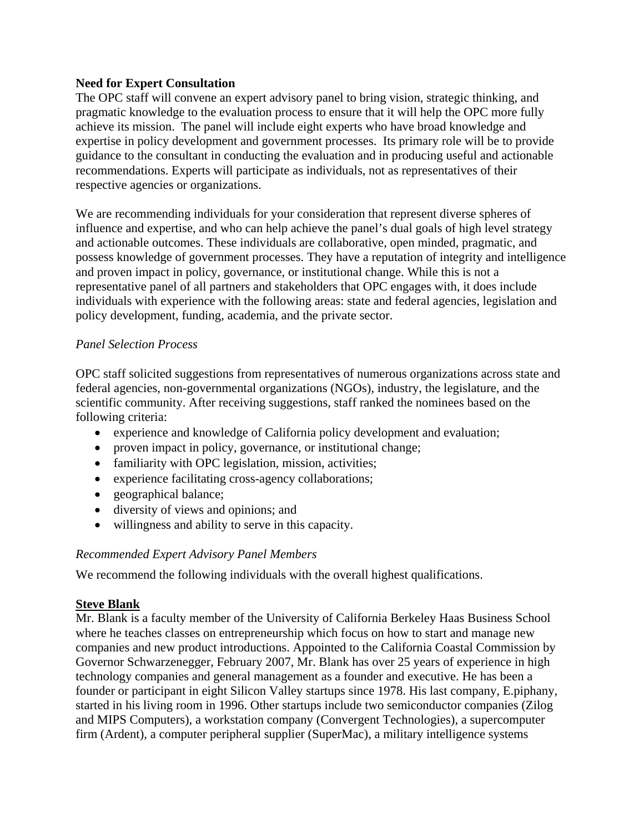### **Need for Expert Consultation**

The OPC staff will convene an expert advisory panel to bring vision, strategic thinking, and pragmatic knowledge to the evaluation process to ensure that it will help the OPC more fully achieve its mission. The panel will include eight experts who have broad knowledge and expertise in policy development and government processes. Its primary role will be to provide guidance to the consultant in conducting the evaluation and in producing useful and actionable recommendations. Experts will participate as individuals, not as representatives of their respective agencies or organizations.

We are recommending individuals for your consideration that represent diverse spheres of influence and expertise, and who can help achieve the panel's dual goals of high level strategy and actionable outcomes. These individuals are collaborative, open minded, pragmatic, and possess knowledge of government processes. They have a reputation of integrity and intelligence and proven impact in policy, governance, or institutional change. While this is not a representative panel of all partners and stakeholders that OPC engages with, it does include individuals with experience with the following areas: state and federal agencies, legislation and policy development, funding, academia, and the private sector.

# *Panel Selection Process*

OPC staff solicited suggestions from representatives of numerous organizations across state and federal agencies, non-governmental organizations (NGOs), industry, the legislature, and the scientific community. After receiving suggestions, staff ranked the nominees based on the following criteria:

- experience and knowledge of California policy development and evaluation;
- proven impact in policy, governance, or institutional change;
- familiarity with OPC legislation, mission, activities;
- experience facilitating cross-agency collaborations;
- geographical balance;
- diversity of views and opinions; and
- willingness and ability to serve in this capacity.

#### *Recommended Expert Advisory Panel Members*

We recommend the following individuals with the overall highest qualifications.

#### **Steve Blank**

Mr. Blank is a faculty member of the University of California Berkeley Haas Business School where he teaches classes on entrepreneurship which focus on how to start and manage new companies and new product introductions. Appointed to the California Coastal Commission by Governor Schwarzenegger, February 2007, Mr. Blank has over 25 years of experience in high technology companies and general management as a founder and executive. He has been a founder or participant in eight Silicon Valley startups since 1978. His last company, E.piphany, started in his living room in 1996. Other startups include two semiconductor companies (Zilog and MIPS Computers), a workstation company (Convergent Technologies), a supercomputer firm (Ardent), a computer peripheral supplier (SuperMac), a military intelligence systems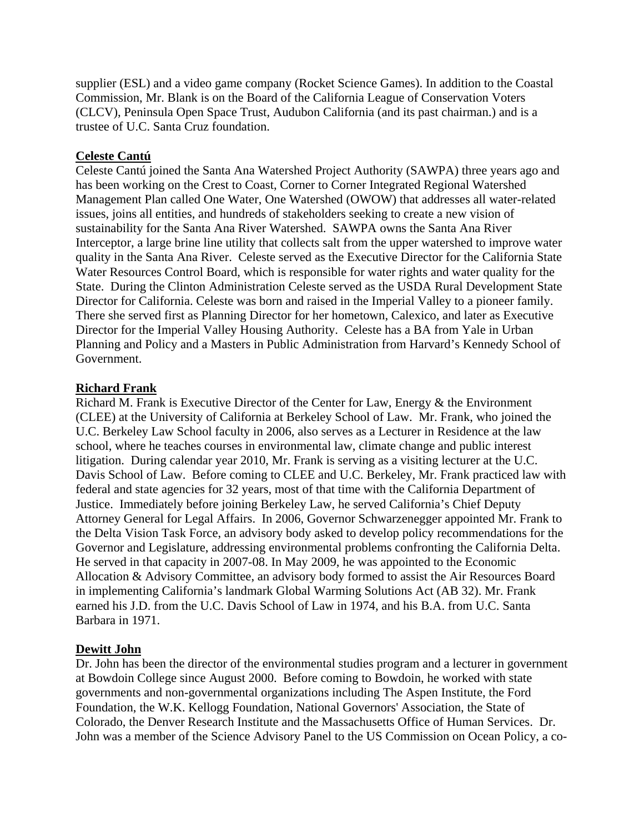supplier (ESL) and a video game company (Rocket Science Games). In addition to the Coastal Commission, Mr. Blank is on the Board of the California League of Conservation Voters (CLCV), Peninsula Open Space Trust, Audubon California (and its past chairman.) and is a trustee of U.C. Santa Cruz foundation.

# **Celeste Cantú**

Celeste Cantú joined the Santa Ana Watershed Project Authority (SAWPA) three years ago and has been working on the Crest to Coast, Corner to Corner Integrated Regional Watershed Management Plan called One Water, One Watershed (OWOW) that addresses all water-related issues, joins all entities, and hundreds of stakeholders seeking to create a new vision of sustainability for the Santa Ana River Watershed. SAWPA owns the Santa Ana River Interceptor, a large brine line utility that collects salt from the upper watershed to improve water quality in the Santa Ana River. Celeste served as the Executive Director for the California State Water Resources Control Board, which is responsible for water rights and water quality for the State. During the Clinton Administration Celeste served as the USDA Rural Development State Director for California. Celeste was born and raised in the Imperial Valley to a pioneer family. There she served first as Planning Director for her hometown, Calexico, and later as Executive Director for the Imperial Valley Housing Authority. Celeste has a BA from Yale in Urban Planning and Policy and a Masters in Public Administration from Harvard's Kennedy School of Government.

## **Richard Frank**

Richard M. Frank is Executive Director of the Center for Law, Energy & the Environment (CLEE) at the University of California at Berkeley School of Law. Mr. Frank, who joined the U.C. Berkeley Law School faculty in 2006, also serves as a Lecturer in Residence at the law school, where he teaches courses in environmental law, climate change and public interest litigation. During calendar year 2010, Mr. Frank is serving as a visiting lecturer at the U.C. Davis School of Law. Before coming to CLEE and U.C. Berkeley, Mr. Frank practiced law with federal and state agencies for 32 years, most of that time with the California Department of Justice. Immediately before joining Berkeley Law, he served California's Chief Deputy Attorney General for Legal Affairs. In 2006, Governor Schwarzenegger appointed Mr. Frank to the Delta Vision Task Force, an advisory body asked to develop policy recommendations for the Governor and Legislature, addressing environmental problems confronting the California Delta. He served in that capacity in 2007-08. In May 2009, he was appointed to the Economic Allocation & Advisory Committee, an advisory body formed to assist the Air Resources Board in implementing California's landmark Global Warming Solutions Act (AB 32). Mr. Frank earned his J.D. from the U.C. Davis School of Law in 1974, and his B.A. from U.C. Santa Barbara in 1971.

# **Dewitt John**

Dr. John has been the director of the environmental studies program and a lecturer in government at Bowdoin College since August 2000. Before coming to Bowdoin, he worked with state governments and non-governmental organizations including The Aspen Institute, the Ford Foundation, the W.K. Kellogg Foundation, National Governors' Association, the State of Colorado, the Denver Research Institute and the Massachusetts Office of Human Services. Dr. John was a member of the Science Advisory Panel to the US Commission on Ocean Policy, a co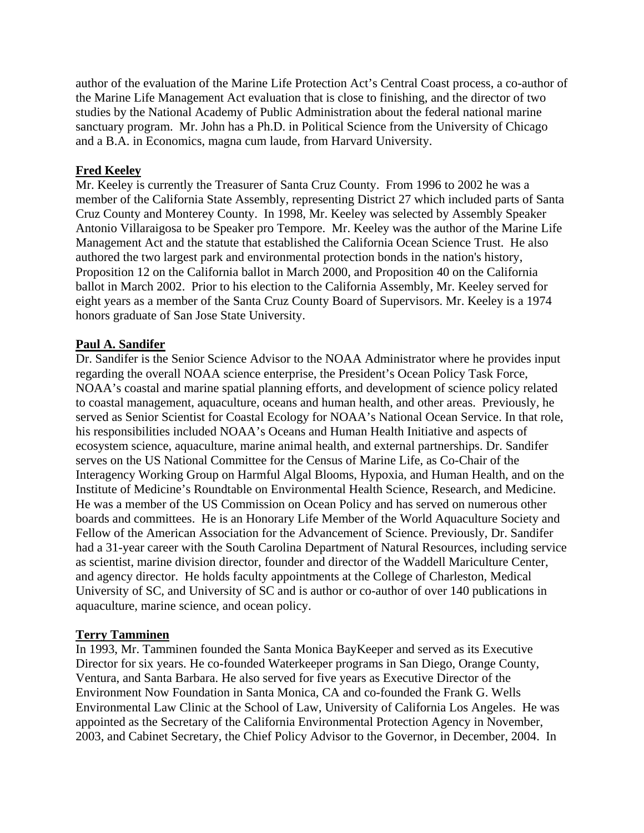author of the evaluation of the Marine Life Protection Act's Central Coast process, a co-author of the Marine Life Management Act evaluation that is close to finishing, and the director of two studies by the National Academy of Public Administration about the federal national marine sanctuary program. Mr. John has a Ph.D. in Political Science from the University of Chicago and a B.A. in Economics, magna cum laude, from Harvard University.

## **Fred Keeley**

Mr. Keeley is currently the Treasurer of Santa Cruz County. From 1996 to 2002 he was a member of the California State Assembly, representing District 27 which included parts of Santa Cruz County and Monterey County. In 1998, Mr. Keeley was selected by Assembly Speaker Antonio Villaraigosa to be Speaker pro Tempore. Mr. Keeley was the author of the Marine Life Management Act and the statute that established the California Ocean Science Trust. He also authored the two largest park and environmental protection bonds in the nation's history, Proposition 12 on the California ballot in March 2000, and Proposition 40 on the California ballot in March 2002. Prior to his election to the California Assembly, Mr. Keeley served for eight years as a member of the Santa Cruz County Board of Supervisors. Mr. Keeley is a 1974 honors graduate of San Jose State University.

#### **Paul A. Sandifer**

Dr. Sandifer is the Senior Science Advisor to the NOAA Administrator where he provides input regarding the overall NOAA science enterprise, the President's Ocean Policy Task Force, NOAA's coastal and marine spatial planning efforts, and development of science policy related to coastal management, aquaculture, oceans and human health, and other areas. Previously, he served as Senior Scientist for Coastal Ecology for NOAA's National Ocean Service. In that role, his responsibilities included NOAA's Oceans and Human Health Initiative and aspects of ecosystem science, aquaculture, marine animal health, and external partnerships. Dr. Sandifer serves on the US National Committee for the Census of Marine Life, as Co-Chair of the Interagency Working Group on Harmful Algal Blooms, Hypoxia, and Human Health, and on the Institute of Medicine's Roundtable on Environmental Health Science, Research, and Medicine. He was a member of the US Commission on Ocean Policy and has served on numerous other boards and committees. He is an Honorary Life Member of the World Aquaculture Society and Fellow of the American Association for the Advancement of Science. Previously, Dr. Sandifer had a 31-year career with the South Carolina Department of Natural Resources, including service as scientist, marine division director, founder and director of the Waddell Mariculture Center, and agency director. He holds faculty appointments at the College of Charleston, Medical University of SC, and University of SC and is author or co-author of over 140 publications in aquaculture, marine science, and ocean policy.

#### **Terry Tamminen**

In 1993, Mr. Tamminen founded the Santa Monica BayKeeper and served as its Executive Director for six years. He co-founded Waterkeeper programs in San Diego, Orange County, Ventura, and Santa Barbara. He also served for five years as Executive Director of the Environment Now Foundation in Santa Monica, CA and co-founded the Frank G. Wells Environmental Law Clinic at the School of Law, University of California Los Angeles. He was appointed as the Secretary of the California Environmental Protection Agency in November, 2003, and Cabinet Secretary, the Chief Policy Advisor to the Governor, in December, 2004. In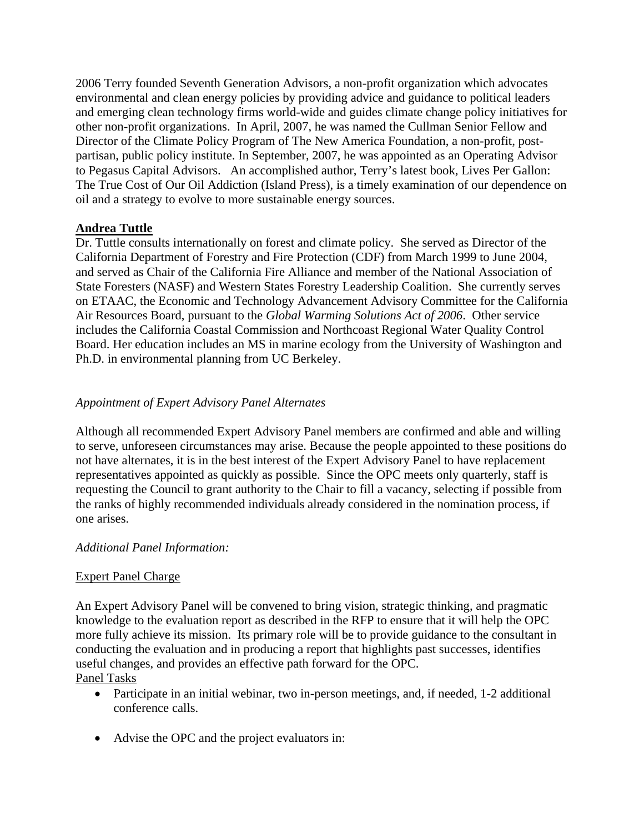2006 Terry founded Seventh Generation Advisors, a non-profit organization which advocates environmental and clean energy policies by providing advice and guidance to political leaders and emerging clean technology firms world-wide and guides climate change policy initiatives for other non-profit organizations. In April, 2007, he was named the Cullman Senior Fellow and Director of the Climate Policy Program of The New America Foundation, a non-profit, postpartisan, public policy institute. In September, 2007, he was appointed as an Operating Advisor to Pegasus Capital Advisors. An accomplished author, Terry's latest book, Lives Per Gallon: The True Cost of Our Oil Addiction (Island Press), is a timely examination of our dependence on oil and a strategy to evolve to more sustainable energy sources.

# **Andrea Tuttle**

Dr. Tuttle consults internationally on forest and climate policy. She served as Director of the California Department of Forestry and Fire Protection (CDF) from March 1999 to June 2004, and served as Chair of the California Fire Alliance and member of the National Association of State Foresters (NASF) and Western States Forestry Leadership Coalition. She currently serves on ETAAC, the Economic and Technology Advancement Advisory Committee for the California Air Resources Board, pursuant to the *Global Warming Solutions Act of 2006*. Other service includes the California Coastal Commission and Northcoast Regional Water Quality Control Board. Her education includes an MS in marine ecology from the University of Washington and Ph.D. in environmental planning from UC Berkeley.

# *Appointment of Expert Advisory Panel Alternates*

Although all recommended Expert Advisory Panel members are confirmed and able and willing to serve, unforeseen circumstances may arise. Because the people appointed to these positions do not have alternates, it is in the best interest of the Expert Advisory Panel to have replacement representatives appointed as quickly as possible. Since the OPC meets only quarterly, staff is requesting the Council to grant authority to the Chair to fill a vacancy, selecting if possible from the ranks of highly recommended individuals already considered in the nomination process, if one arises.

# *Additional Panel Information:*

# Expert Panel Charge

An Expert Advisory Panel will be convened to bring vision, strategic thinking, and pragmatic knowledge to the evaluation report as described in the RFP to ensure that it will help the OPC more fully achieve its mission. Its primary role will be to provide guidance to the consultant in conducting the evaluation and in producing a report that highlights past successes, identifies useful changes, and provides an effective path forward for the OPC. Panel Tasks

- Participate in an initial webinar, two in-person meetings, and, if needed, 1-2 additional conference calls.
- Advise the OPC and the project evaluators in: